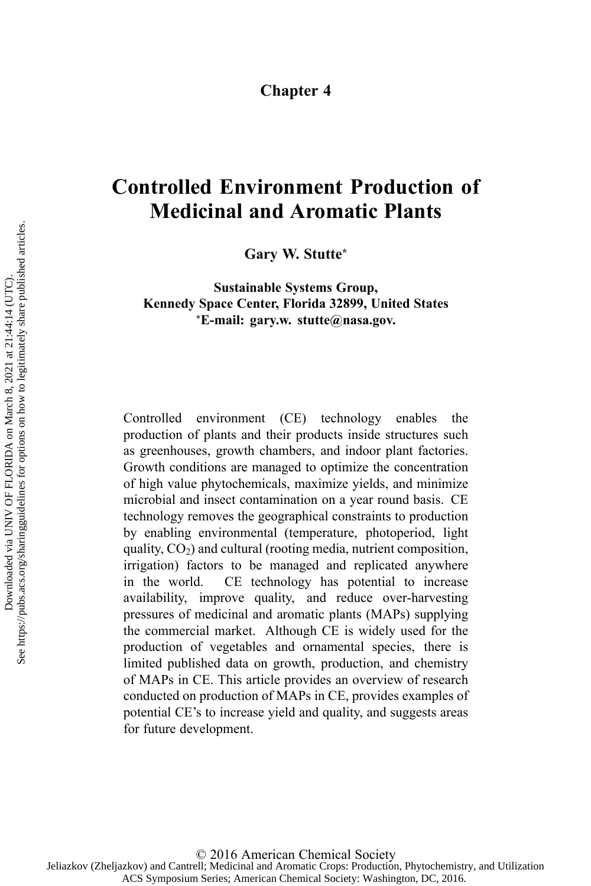## **Chapter 4**

# **Controlled Environment Production of Medicinal and Aromatic Plants**

**Gary W. Stutte\***

**Sustainable Systems Group, Kennedy Space Center, Florida 32899, United States \*E-mail: gary.w. stutte@nasa.gov.**

Controlled environment (CE) technology enables the production of plants and their products inside structures such as greenhouses, growth chambers, and indoor plant factories. Growth conditions are managed to optimize the concentration of high value phytochemicals, maximize yields, and minimize microbial and insect contamination on <sup>a</sup> year round basis. CE technology removes the geographical constraints to production by enabling environmental (temperature, photoperiod, light quality,  $CO<sub>2</sub>$ ) and cultural (rooting media, nutrient composition, irrigation) factors to be managed and replicated anywhere in the world. CE technology has potential to increase availability, improve quality, and reduce over-harvesting pressures of medicinal and aromatic plants (MAPs) supplying the commercial market. Although CE is widely used for the production of vegetables and ornamental species, there is limited published data on growth, production, and chemistry of MAPs in CE. This article provides an overview of research conducted on production of MAPs in CE, provides examples of potential CE's to increase yield and quality, and suggests areas for future development.

© 2016 American Chemical Society Jeliazkov (Zheljazkov) and Cantrell; Medicinal and Aromatic Crops: Production, Phytochemistry, and Utilization ACS Symposium Series; American Chemical Society: Washington, DC, 2016.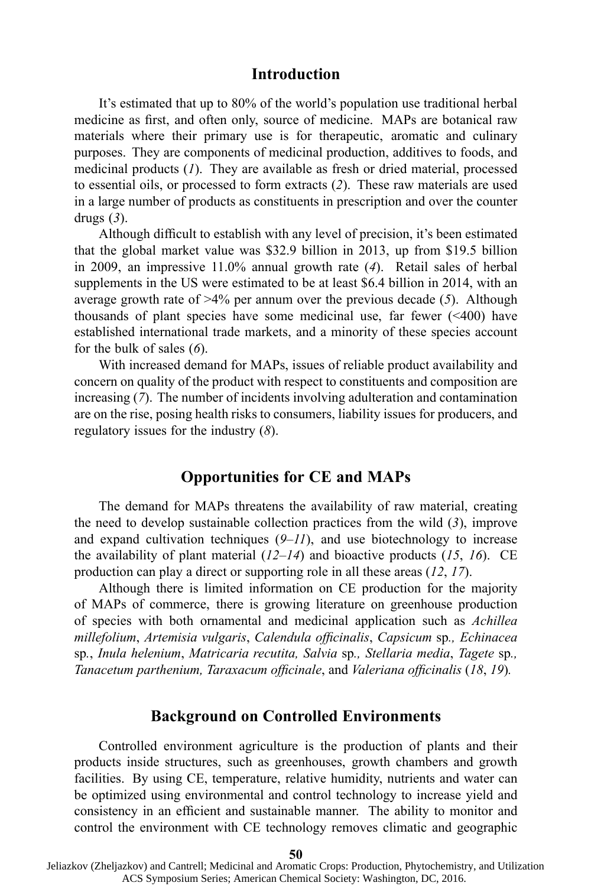#### **Introduction**

It's estimated that up to 80% of the world's population use traditional herbal medicine as first, and often only, source of medicine. MAPs are botanical raw materials where their primary use is for therapeutic, aromatic and culinary purposes. They are components of medicinal production, additives to foods, and medicinal products (*1*). They are available as fresh or dried material, processed to essential oils, or processed to form extracts (*2*). These raw materials are used in <sup>a</sup> large number of products as constituents in prescription and over the counter drugs (*3*).

Although difficult to establish with any level of precision, it's been estimated that the global market value was \$32.9 billion in 2013, up from \$19.5 billion in 2009, an impressive 11.0% annual growth rate (*4*). Retail sales of herbal supplements in the US were estimated to be at least \$6.4 billion in 2014, with an average growth rate of >4% per annum over the previous decade (*5*). Although thousands of plant species have some medicinal use, far fewer  $($  <400) have established international trade markets, and <sup>a</sup> minority of these species account for the bulk of sales (*6*).

With increased demand for MAPs, issues of reliable product availability and concern on quality of the product with respec<sup>t</sup> to constituents and composition are increasing (*7*). The number of incidents involving adulteration and contamination are on the rise, posing health risks to consumers, liability issues for producers, and regulatory issues for the industry (*8*).

## **Opportunities for CE and MAPs**

The demand for MAPs threatens the availability of raw material, creating the need to develop sustainable collection practices from the wild (*3*), improve and expand cultivation techniques (*9*–*11*), and use biotechnology to increase the availability of plant material (*12*–*14*) and bioactive products (*15*, *16*). CE production can play <sup>a</sup> direct or supporting role in all these areas (*12*, *17*).

Although there is limited information on CE production for the majority of MAPs of commerce, there is growing literature on greenhouse production of species with both ornamental and medicinal application such as *Achillea millefolium*, *Artemisia vulgaris*, *Calendula officinalis*, *Capsicum* sp*., Echinacea* sp*.*, *Inula helenium*, *Matricaria recutita, Salvia* sp*., Stellaria media*, *Tagete* sp*., Tanacetum parthenium, Taraxacum officinale*, and *Valeriana officinalis* (*18*, *19*)*.*

# **Background on Controlled Environments**

Controlled environment agriculture is the production of plants and their products inside structures, such as greenhouses, growth chambers and growth facilities. By using CE, temperature, relative humidity, nutrients and water can be optimized using environmental and control technology to increase yield and consistency in an efficient and sustainable manner. The ability to monitor and control the environment with CE technology removes climatic and geographic

**<sup>50</sup>**

Jeliazkov (Zheljazkov) and Cantrell; Medicinal and Aromatic Crops: Production, Phytochemistry, and Utilization ACS Symposium Series; American Chemical Society: Washington, DC, 2016.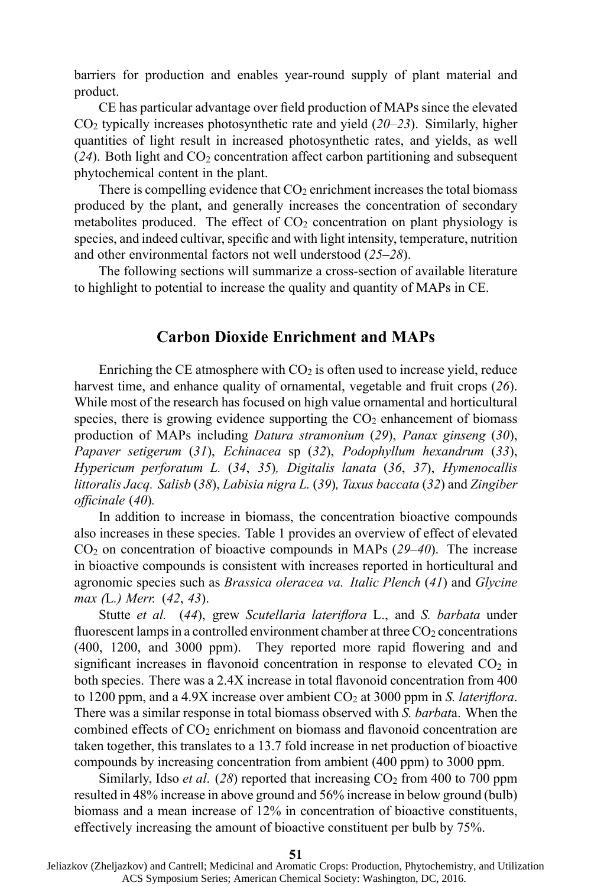barriers for production and enables year-round supply of plant material and product.

CE has particular advantage over field production of MAPs since the elevated CO<sup>2</sup> typically increases photosynthetic rate and yield (*20*–*23*). Similarly, higher quantities of light result in increased photosynthetic rates, and yields, as well  $(24)$ . Both light and  $CO<sub>2</sub>$  concentration affect carbon partitioning and subsequent phytochemical content in the plant.

There is compelling evidence that  $CO<sub>2</sub>$  enrichment increases the total biomass produced by the plant, and generally increases the concentration of secondary metabolites produced. The effect of  $CO<sub>2</sub>$  concentration on plant physiology is species, and indeed cultivar, specific and with light intensity, temperature, nutrition and other environmental factors not well understood (*25*–*28*).

The following sections will summarize <sup>a</sup> cross-section of available literature to highlight to potential to increase the quality and quantity of MAPs in CE.

## **Carbon Dioxide Enrichment and MAPs**

Enriching the CE atmosphere with  $CO<sub>2</sub>$  is often used to increase yield, reduce harvest time, and enhance quality of ornamental, vegetable and fruit crops (*26*). While most of the research has focused on high value ornamental and horticultural species, there is growing evidence supporting the  $CO<sub>2</sub>$  enhancement of biomass production of MAPs including *Datura stramonium* (*29*), *Panax ginseng* (*30*), *Papaver setigerum* (*31*), *Echinacea* sp (*32*), *Podophyllum hexandrum* (*33*), *Hypericum perforatum L.* (*34*, *35*)*, Digitalis lanata* (*36*, *37*), *Hymenocallis littoralis Jacq. Salisb* (*38*), *Labisia nigra L.* (*39*)*, Taxus baccata* (*32*) and *Zingiber officinale* (*40*)*.*

In addition to increase in biomass, the concentration bioactive compounds also increases in these species. Table 1 provides an overview of effect of elevated CO<sup>2</sup> on concentration of bioactive compounds in MAPs (*29*–*40*). The increase in bioactive compounds is consistent with increases reported in horticultural and agronomic species such as *Brassica oleracea va. Italic Plench* (*41*) and *Glycine max (*L*.) Merr.* (*42*, *43*).

Stutte *et al.* (*44*), grew *Scutellaria lateriflora* L., and *S. barbata* under fluorescent lamps in a controlled environment chamber at three  $CO<sub>2</sub>$  concentrations (400, 1200, and 3000 ppm). They reported more rapid flowering and and significant increases in flavonoid concentration in response to elevated  $CO<sub>2</sub>$  in both species. There was <sup>a</sup> 2.4X increase in total flavonoid concentration from 400 to 1200 ppm, and <sup>a</sup> 4.9X increase over ambient CO<sup>2</sup> at 3000 ppm in *S. lateriflora*. There was <sup>a</sup> similar response in total biomass observed with *S. barbat*a. When the combined effects of  $CO<sub>2</sub>$  enrichment on biomass and flavonoid concentration are taken together, this translates to <sup>a</sup> 13.7 fold increase in net production of bioactive compounds by increasing concentration from ambient (400 ppm) to 3000 ppm.

Similarly, Idso *et al.* (28) reported that increasing  $CO<sub>2</sub>$  from 400 to 700 ppm resulted in 48% increase in above ground and 56% increase in below ground (bulb) biomass and <sup>a</sup> mean increase of 12% in concentration of bioactive constituents, effectively increasing the amount of bioactive constituent per bulb by 75%.

**51**

Jeliazkov (Zheljazkov) and Cantrell; Medicinal and Aromatic Crops: Production, Phytochemistry, and Utilization ACS Symposium Series; American Chemical Society: Washington, DC, 2016.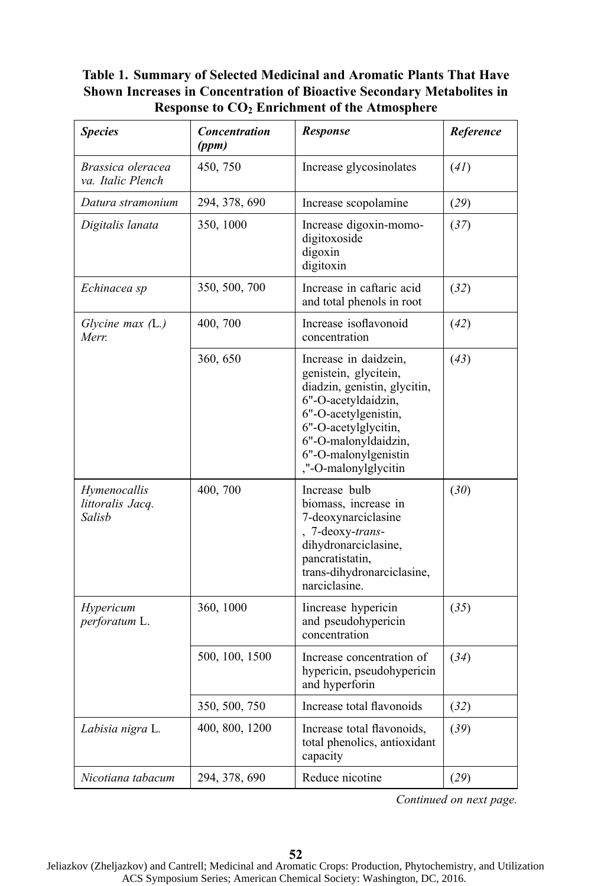# **Table 1. Summary of Selected Medicinal and Aromatic Plants That Have Shown Increases in Concentration of Bioactive Secondary Metabolites in Response to CO<sup>2</sup> Enrichment of the Atmosphere**

| <b>Species</b>                             | <b>Concentration</b><br>(ppm) | <b>Response</b>                                                                                                                                                                                                              | Reference |
|--------------------------------------------|-------------------------------|------------------------------------------------------------------------------------------------------------------------------------------------------------------------------------------------------------------------------|-----------|
| Brassica oleracea<br>va. Italic Plench     | 450, 750                      | Increase glycosinolates                                                                                                                                                                                                      | (4I)      |
| Datura stramonium                          | 294, 378, 690                 | Increase scopolamine                                                                                                                                                                                                         |           |
| Digitalis lanata                           | 350, 1000                     | Increase digoxin-momo-<br>digitoxoside<br>digoxin<br>digitoxin                                                                                                                                                               | (37)      |
| Echinacea sp                               | 350, 500, 700                 | Increase in caftaric acid<br>and total phenols in root                                                                                                                                                                       | (32)      |
| Glycine max $(L)$<br>Merr.                 | 400, 700                      | Increase isoflavonoid<br>concentration                                                                                                                                                                                       | (42)      |
|                                            | 360, 650                      | Increase in daidzein,<br>genistein, glycitein,<br>diadzin, genistin, glycitin,<br>6"-O-acetyldaidzin,<br>6"-O-acetylgenistin,<br>6"-O-acetylglycitin,<br>6"-O-malonyldaidzin,<br>6"-O-malonylgenistin<br>"-O-malonylglycitin | (43)      |
| Hymenocallis<br>littoralis Jacq.<br>Salisb | 400, 700                      | Increase bulb<br>biomass, increase in<br>7-deoxynarciclasine<br>7-deoxy-trans-<br>dihydronarciclasine,<br>pancratistatin,<br>trans-dihydronarciclasine,<br>narciclasine.                                                     | (30)      |
| Hypericum<br>perforatum L.                 | 360, 1000                     | Increase hypericin<br>and pseudohypericin<br>concentration                                                                                                                                                                   | (35)      |
|                                            | 500, 100, 1500                | Increase concentration of<br>hypericin, pseudohypericin<br>and hyperforin                                                                                                                                                    | (34)      |
|                                            | 350, 500, 750                 | Increase total flavonoids                                                                                                                                                                                                    | (32)      |
| Labisia nigra L.                           | 400, 800, 1200                | Increase total flavonoids,<br>total phenolics, antioxidant<br>capacity                                                                                                                                                       | (39)      |
| Nicotiana tabacum                          | 294, 378, 690                 | Reduce nicotine                                                                                                                                                                                                              | (29)      |

*Continued on next page.*

 Jeliazkov (Zheljazkov) and Cantrell; Medicinal and Aromatic Crops: Production, Phytochemistry, and Utilization ACS Symposium Series; American Chemical Society: Washington, DC, 2016.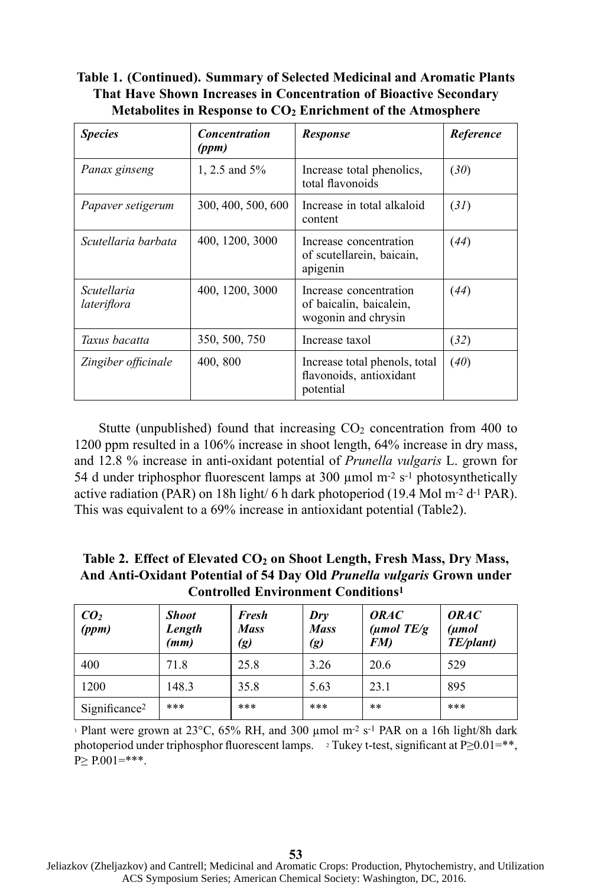**Table 1. (Continued). Summary of Selected Medicinal and Aromatic Plants That Have Shown Increases in Concentration of Bioactive Secondary Metabolites in Response to CO<sup>2</sup> Enrichment of the Atmosphere**

| <b>Species</b>             | <b>Concentration</b><br>(ppm) | Response                                                                 | Reference |
|----------------------------|-------------------------------|--------------------------------------------------------------------------|-----------|
| Panax ginseng              | 1, 2.5 and 5%                 | Increase total phenolics,<br>total flavonoids                            | (30)      |
| Papaver setigerum          | 300, 400, 500, 600            | Increase in total alkaloid<br>content                                    | (31)      |
| Scutellaria barbata        | 400, 1200, 3000               | Increase concentration<br>of scutellarein, baicain,<br>apigenin          | (44)      |
| Scutellaria<br>lateriflora | 400, 1200, 3000               | Increase concentration<br>of baicalin, baicalein,<br>wogonin and chrysin | (44)      |
| Taxus bacatta              | 350, 500, 750                 | Increase taxol                                                           | (32)      |
| Zingiber officinale        | 400, 800                      | Increase total phenols, total<br>flavonoids, antioxidant<br>potential    | (40)      |

Stutte (unpublished) found that increasing  $CO<sub>2</sub>$  concentration from 400 to 1200 ppm resulted in <sup>a</sup> 106% increase in shoot length, 64% increase in dry mass, and 12.8 % increase in anti-oxidant potential of *Prunella vulgaris* L. grown for 54 d under triphosphor fluorescent lamps at 300 µmol <sup>m</sup>-2 <sup>s</sup>-1 photosynthetically active radiation (PAR) on 18h light/ 6 h dark photoperiod (19.4 Mol <sup>m</sup>-2 d-1 PAR). This was equivalent to <sup>a</sup> 69% increase in antioxidant potential (Table2).

**Table 2. Effect of Elevated CO<sup>2</sup> on Shoot Length, Fresh Mass, Dry Mass, And Anti-Oxidant Potential of 54 Day Old** *Prunella vulgaris* **Grown under Controlled Environment Conditions<sup>1</sup>**

| CO <sub>2</sub><br>(ppm)  | <b>Shoot</b><br>Length<br>(mm) | Fresh<br><b>Mass</b><br>(g) | Drv<br><b>Mass</b><br>$\left( g\right)$ | <i><b>ORAC</b></i><br>$(\mu \text{mol} \; TE/g)$<br>FM) | <i><b>ORAC</b></i><br>(umol<br>TE/plant) |
|---------------------------|--------------------------------|-----------------------------|-----------------------------------------|---------------------------------------------------------|------------------------------------------|
| 400                       | 71.8                           | 25.8                        | 3.26                                    | 20.6                                                    | 529                                      |
| 1200                      | 148.3                          | 35.8                        | 5.63                                    | 23.1                                                    | 895                                      |
| Significance <sup>2</sup> | ***                            | ***                         | ***                                     | $***$                                                   | ***                                      |

<sup>1</sup> Plant were grown at  $23^{\circ}$ C,  $65\%$  RH, and  $300 \mu$ mol m<sup>-2</sup> s<sup>-1</sup> PAR on a 16h light/8h dark photoperiod under triphosphor fluorescent lamps.  $\approx$  Tukey t-test, significant at P≥0.01=\*\*,  $P > P.001 = ***$ .

 Jeliazkov (Zheljazkov) and Cantrell; Medicinal and Aromatic Crops: Production, Phytochemistry, and Utilization ACS Symposium Series; American Chemical Society: Washington, DC, 2016.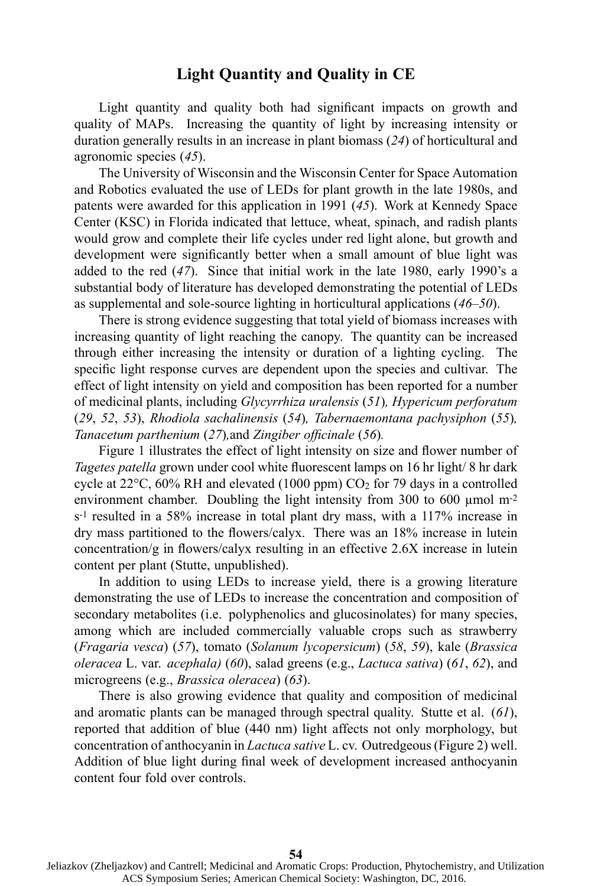# **Light Quantity and Quality in CE**

Light quantity and quality both had significant impacts on growth and quality of MAPs. Increasing the quantity of light by increasing intensity or duration generally results in an increase in plant biomass (*24*) of horticultural and agronomic species (*45*).

The University of Wisconsin and the Wisconsin Center for Space Automation and Robotics evaluated the use of LEDs for plant growth in the late 1980s, and patents were awarded for this application in 1991 (*45*). Work at Kennedy Space Center (KSC) in Florida indicated that lettuce, wheat, spinach, and radish plants would grow and complete their life cycles under red light alone, but growth and development were significantly better when <sup>a</sup> small amount of blue light was added to the red (*47*). Since that initial work in the late 1980, early 1990's <sup>a</sup> substantial body of literature has developed demonstrating the potential of LEDs as supplemental and sole-source lighting in horticultural applications (*46*–*50*).

There is strong evidence suggesting that total yield of biomass increases with increasing quantity of light reaching the canopy. The quantity can be increased through either increasing the intensity or duration of <sup>a</sup> lighting cycling. The specific light response curves are dependent upon the species and cultivar. The effect of light intensity on yield and composition has been reported for <sup>a</sup> number of medicinal plants, including *Glycyrrhiza uralensis* (*51*)*, Hypericum perforatum* (*29*, *52*, *53*), *Rhodiola sachalinensis* (*54*)*, Tabernaemontana pachysiphon* (*55*)*, Tanacetum parthenium* (*27*)*,*and *Zingiber officinale* (*56*)*.*

Figure 1 illustrates the effect of light intensity on size and flower number of *Tagetes patella* grown under cool white fluorescent lamps on 16 hr light/ 8 hr dark cycle at  $22^{\circ}$ C, 60% RH and elevated (1000 ppm) CO<sub>2</sub> for 79 days in a controlled environment chamber. Doubling the light intensity from 300 to 600 µmol  $m<sup>2</sup>$ <sup>s</sup>-1 resulted in <sup>a</sup> 58% increase in total plant dry mass, with <sup>a</sup> 117% increase in dry mass partitioned to the flowers/calyx. There was an 18% increase in lutein concentration/g in flowers/calyx resulting in an effective 2.6X increase in lutein content per plant (Stutte, unpublished).

In addition to using LEDs to increase yield, there is <sup>a</sup> growing literature demonstrating the use of LEDs to increase the concentration and composition of secondary metabolites (i.e. polyphenolics and glucosinolates) for many species, among which are included commercially valuable crops such as strawberry (*Fragaria vesca*) (*57*), tomato (*Solanum lycopersicum*) (*58*, *59*), kale (*Brassica oleracea* L. var. *acephala)* (*60*), salad greens (e.g., *Lactuca sativa*) (*61*, *62*), and microgreens (e.g., *Brassica oleracea*) (*63*).

There is also growing evidence that quality and composition of medicinal and aromatic plants can be managed through spectral quality. Stutte et al. (*61*), reported that addition of blue (440 nm) light affects not only morphology, but concentration of anthocyanin in *Lactuca sative* L. cv. Outredgeous(Figure 2) well. Addition of blue light during final week of development increased anthocyanin content four fold over controls.

 Jeliazkov (Zheljazkov) and Cantrell; Medicinal and Aromatic Crops: Production, Phytochemistry, and Utilization ACS Symposium Series; American Chemical Society: Washington, DC, 2016.

**54**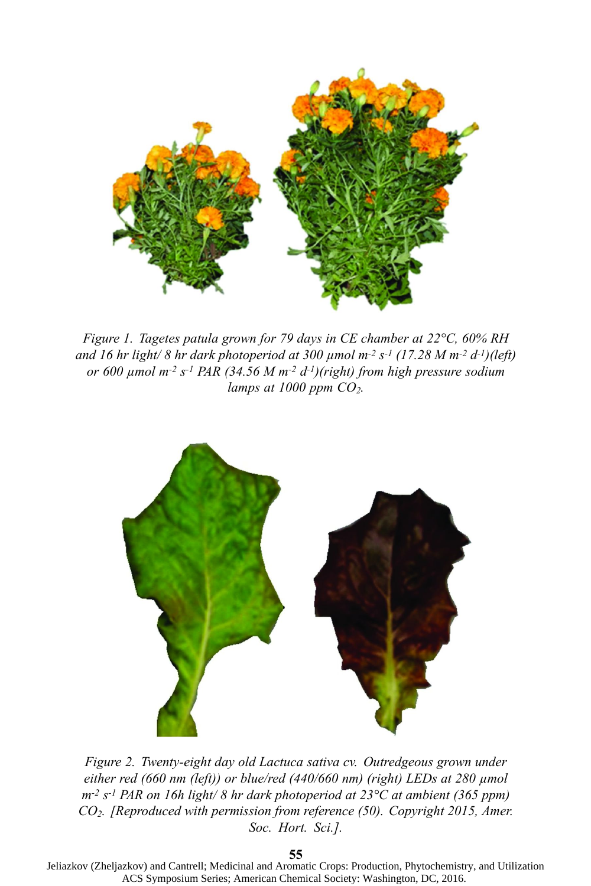

*Figure 1. Tagetes patula grown for 79 days in CE chamber at 22°C, 60% RH* and 16 hr light/ 8 hr dark photoperiod at 300 µmol m<sup>-2</sup> s<sup>-1</sup> (17.28 M m<sup>-2</sup> d<sup>-1</sup>)(left) *or 600 µmol <sup>m</sup>-2 <sup>s</sup>-1 PAR (34.56 M <sup>m</sup>-2 d-1 )(right) from high pressure sodium lamps at 1000 ppm CO<sup>2</sup>.*



*Figure 2. Twenty-eight day old Lactuca sativa cv. Outredgeous grown under either red (660 nm (left)) or blue/red (440/660 nm) (right) LEDs at 280 µmol <sup>m</sup>-2 <sup>s</sup>-1 PAR on 16h light/ 8 hr dark photoperiod at 23°C at ambient (365 ppm) CO<sup>2</sup>. [Reproduced with permission from reference (50). Copyright 2015, Amer. Soc. Hort. Sci.].*

**55**

 Jeliazkov (Zheljazkov) and Cantrell; Medicinal and Aromatic Crops: Production, Phytochemistry, and Utilization ACS Symposium Series; American Chemical Society: Washington, DC, 2016.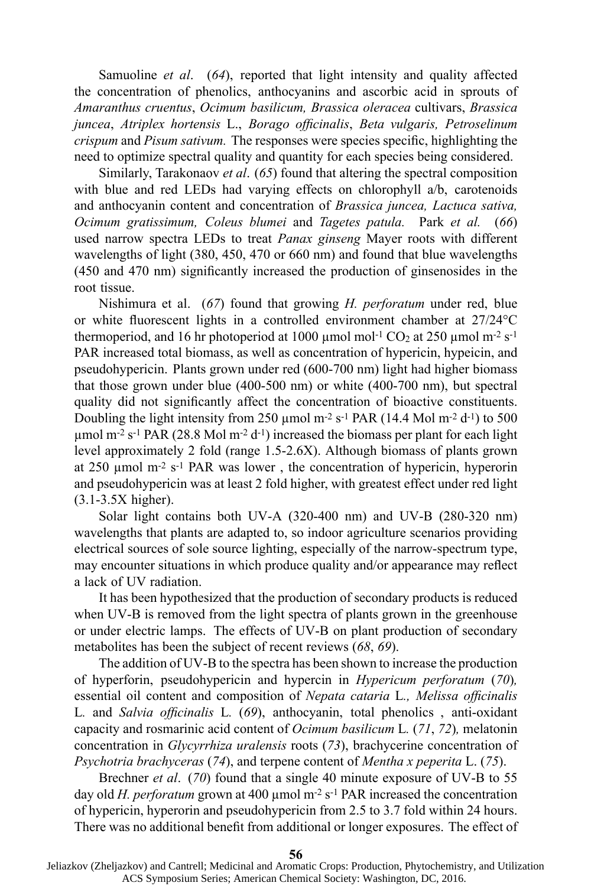Samuoline *et al*. (*64*), reported that light intensity and quality affected the concentration of phenolics, anthocyanins and ascorbic acid in sprouts of *Amaranthus cruentus*, *Ocimum basilicum, Brassica oleracea* cultivars, *Brassica juncea*, *Atriplex hortensis* L., *Borago officinalis*, *Beta vulgaris, Petroselinum crispum* and *Pisum sativum.* The responses were species specific, highlighting the need to optimize spectral quality and quantity for each species being considered.

Similarly, Tarakonaov *et al*. (*65*) found that altering the spectral composition with blue and red LEDs had varying effects on chlorophyll a/b, carotenoids and anthocyanin content and concentration of *Brassica juncea, Lactuca sativa, Ocimum gratissimum, Coleus blumei* and *Tagetes patula.* Park *et al.* (*66*) used narrow spectra LEDs to treat *Panax ginseng* Mayer roots with different wavelengths of light (380, 450, 470 or 660 nm) and found that blue wavelengths (450 and 470 nm) significantly increased the production of ginsenosides in the root tissue.

Nishimura et al. (*67*) found that growing *H. perforatum* under red, blue or white fluorescent lights in <sup>a</sup> controlled environment chamber at 27/24°C thermoperiod, and 16 hr photoperiod at 1000  $\mu$ mol mol<sup>-1</sup> CO<sub>2</sub> at 250  $\mu$ mol m<sup>-2</sup> s<sup>-1</sup> PAR increased total biomass, as well as concentration of hypericin, hypeicin, and pseudohypericin. Plants grown under red (600-700 nm) light had higher biomass that those grown under blue (400-500 nm) or white (400-700 nm), but spectral quality did not significantly affect the concentration of bioactive constituents. Doubling the light intensity from 250  $\mu$ mol m<sup>-2</sup> s<sup>-1</sup> PAR (14.4 Mol m<sup>-2</sup> d<sup>-1</sup>) to 500 µmol <sup>m</sup>-2 <sup>s</sup>-1 PAR (28.8 Mol <sup>m</sup>-2 d-1 ) increased the biomass per plant for each light level approximately 2 fold (range 1.5-2.6X). Although biomass of plants grown at 250 µmol <sup>m</sup>-2 <sup>s</sup>-1 PAR was lower , the concentration of hypericin, hyperorin and pseudohypericin was at least 2 fold higher, with greatest effect under red light (3.1-3.5X higher).

Solar light contains both UV-A (320-400 nm) and UV-B (280-320 nm) wavelengths that plants are adapted to, so indoor agriculture scenarios providing electrical sources of sole source lighting, especially of the narrow-spectrum type, may encounter situations in which produce quality and/or appearance may reflect <sup>a</sup> lack of UV radiation.

It has been hypothesized that the production of secondary products is reduced when UV-B is removed from the light spectra of plants grown in the greenhouse or under electric lamps. The effects of UV-B on plant production of secondary metabolites has been the subject of recent reviews (*68*, *69*).

The addition of UV-B to the spectra has been shown to increase the production of hyperforin, pseudohypericin and hypercin in *Hypericum perforatum* (*70*)*,* essential oil content and composition of *Nepata cataria* L*., Melissa officinalis* L*.* and *Salvia officinalis* L*.* (*69*), anthocyanin, total phenolics , anti-oxidant capacity and rosmarinic acid content of *Ocimum basilicum* L*.* (*71*, *72*)*,* melatonin concentration in *Glycyrrhiza uralensis* roots (*73*), brachycerine concentration of *Psychotria brachyceras* (*74*), and terpene content of *Mentha <sup>x</sup> peperita* L. (*75*).

Brechner *et al*. (*70*) found that <sup>a</sup> single 40 minute exposure of UV-B to 55 day old *H. perforatum* grown at 400 µmol <sup>m</sup>-2 <sup>s</sup>-1 PAR increased the concentration of hypericin, hyperorin and pseudohypericin from 2.5 to 3.7 fold within 24 hours. There was no additional benefit from additional or longer exposures. The effect of

**<sup>56</sup>**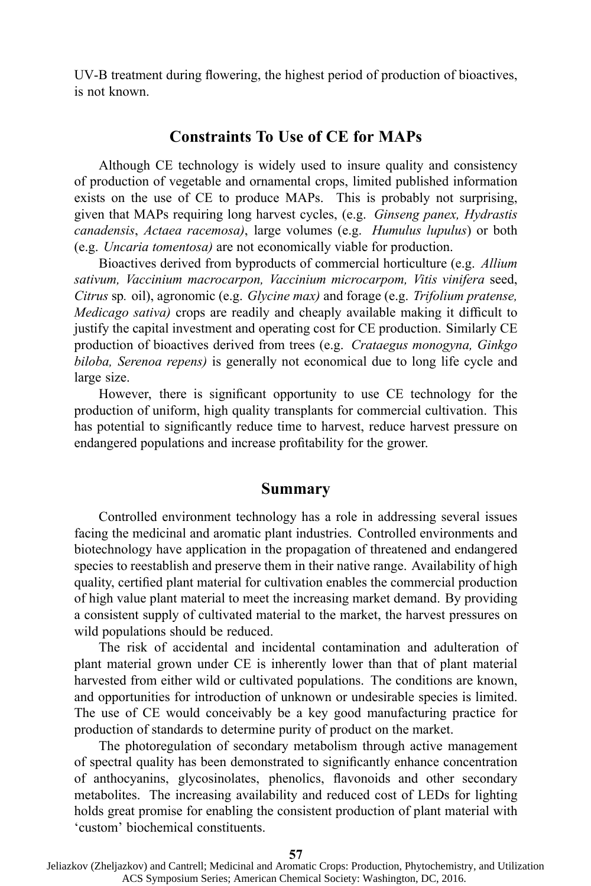UV-B treatment during flowering, the highest period of production of bioactives, is not known.

#### **Constraints To Use of CE for MAPs**

Although CE technology is widely used to insure quality and consistency of production of vegetable and ornamental crops, limited published information exists on the use of CE to produce MAPs. This is probably not surprising, given that MAPs requiring long harvest cycles, (e.g. *Ginseng panex, Hydrastis canadensis*, *Actaea racemosa)*, large volumes (e.g. *Humulus lupulus*) or both (e.g. *Uncaria tomentosa)* are not economically viable for production.

Bioactives derived from byproducts of commercial horticulture (e.g. *Allium sativum, Vaccinium macrocarpon, Vaccinium microcarpom, Vitis vinifera* seed, *Citrus* sp*.* oil), agronomic (e.g. *Glycine max)* and forage (e.g. *Trifolium pratense, Medicago sativa)* crops are readily and cheaply available making it difficult to justify the capital investment and operating cost for CE production. Similarly CE production of bioactives derived from trees (e.g. *Crataegus monogyna, Ginkgo biloba, Serenoa repens)* is generally not economical due to long life cycle and large size.

However, there is significant opportunity to use CE technology for the production of uniform, high quality transplants for commercial cultivation. This has potential to significantly reduce time to harvest, reduce harvest pressure on endangered populations and increase profitability for the grower.

#### **Summary**

Controlled environment technology has <sup>a</sup> role in addressing several issues facing the medicinal and aromatic plant industries. Controlled environments and biotechnology have application in the propagation of threatened and endangered species to reestablish and preserve them in their native range. Availability of high quality, certified plant material for cultivation enables the commercial production of high value plant material to meet the increasing market demand. By providing <sup>a</sup> consistent supply of cultivated material to the market, the harvest pressures on wild populations should be reduced.

The risk of accidental and incidental contamination and adulteration of plant material grown under CE is inherently lower than that of plant material harvested from either wild or cultivated populations. The conditions are known, and opportunities for introduction of unknown or undesirable species is limited. The use of CE would conceivably be <sup>a</sup> key good manufacturing practice for production of standards to determine purity of product on the market.

The photoregulation of secondary metabolism through active managemen<sup>t</sup> of spectral quality has been demonstrated to significantly enhance concentration of anthocyanins, glycosinolates, phenolics, flavonoids and other secondary metabolites. The increasing availability and reduced cost of LEDs for lighting holds grea<sup>t</sup> promise for enabling the consistent production of plant material with 'custom' biochemical constituents.

Jeliazkov (Zheljazkov) and Cantrell; Medicinal and Aromatic Crops: Production, Phytochemistry, and Utilization ACS Symposium Series; American Chemical Society: Washington, DC, 2016.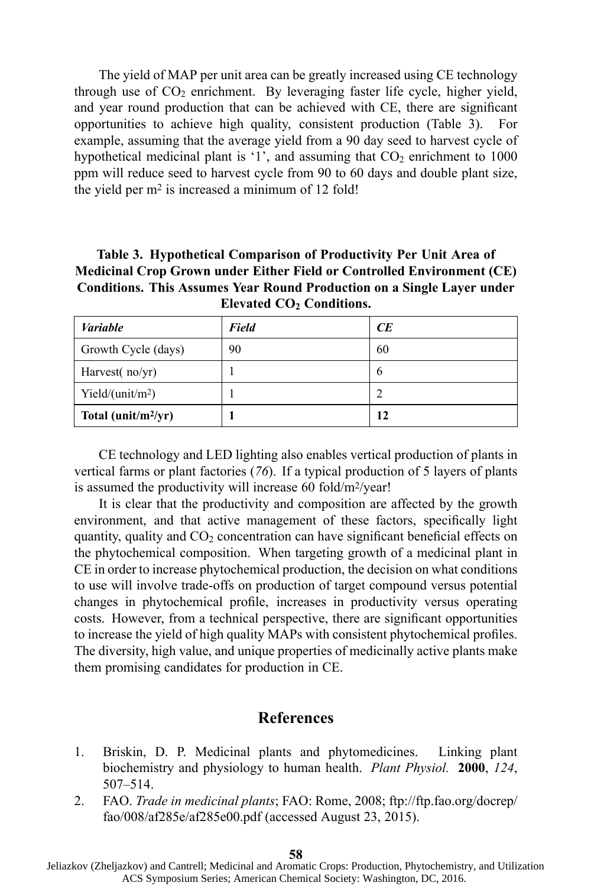The yield of MAP per unit area can be greatly increased using CE technology through use of  $CO<sub>2</sub>$  enrichment. By leveraging faster life cycle, higher yield, and year round production that can be achieved with CE, there are significant opportunities to achieve high quality, consistent production (Table 3). For example, assuming that the average yield from <sup>a</sup> 90 day seed to harvest cycle of hypothetical medicinal plant is '1', and assuming that  $CO<sub>2</sub>$  enrichment to 1000 ppm will reduce seed to harvest cycle from 90 to 60 days and double plant size, the yield per <sup>m</sup><sup>2</sup> is increased <sup>a</sup> minimum of 12 fold!

**Table 3. Hypothetical Comparison of Productivity Per Unit Area of Medicinal Crop Grown under Either Field or Controlled Environment (CE) Conditions. This Assumes Year Round Production on <sup>a</sup> Single Layer under Elevated CO<sup>2</sup> Conditions.**

| <b>Variable</b>                 | Field | CE |
|---------------------------------|-------|----|
| Growth Cycle (days)             | 90    | 60 |
| Harvest( $no/yr$ )              |       | o  |
| Yield/(unit/m <sup>2</sup> )    |       |    |
| Total (unit/m <sup>2</sup> /yr) |       | 12 |

CE technology and LED lighting also enables vertical production of plants in vertical farms or plant factories (*76*). If <sup>a</sup> typical production of 5 layers of plants is assumed the productivity will increase 60 fold/m<sup>2</sup>/year!

It is clear that the productivity and composition are affected by the growth environment, and that active managemen<sup>t</sup> of these factors, specifically light quantity, quality and  $CO<sub>2</sub>$  concentration can have significant beneficial effects on the phytochemical composition. When targeting growth of <sup>a</sup> medicinal plant in CE in order to increase phytochemical production, the decision on what conditions to use will involve trade-offs on production of target compound versus potential changes in phytochemical profile, increases in productivity versus operating costs. However, from <sup>a</sup> technical perspective, there are significant opportunities to increase the yield of high quality MAPs with consistent phytochemical profiles. The diversity, high value, and unique properties of medicinally active plants make them promising candidates for production in CE.

## **References**

- 1. Briskin, D. P. Medicinal plants and phytomedicines. Linking plant biochemistry and physiology to human health. *Plant Physiol.* **2000**, *124*, 507–514.
- 2. FAO. *Trade in medicinal plants*; FAO: Rome, 2008; ftp://ftp.fao.org/docrep/ fao/008/af285e/af285e00.pdf (accessed August 23, 2015).

**<sup>58</sup>**

Jeliazkov (Zheljazkov) and Cantrell; Medicinal and Aromatic Crops: Production, Phytochemistry, and Utilization ACS Symposium Series; American Chemical Society: Washington, DC, 2016.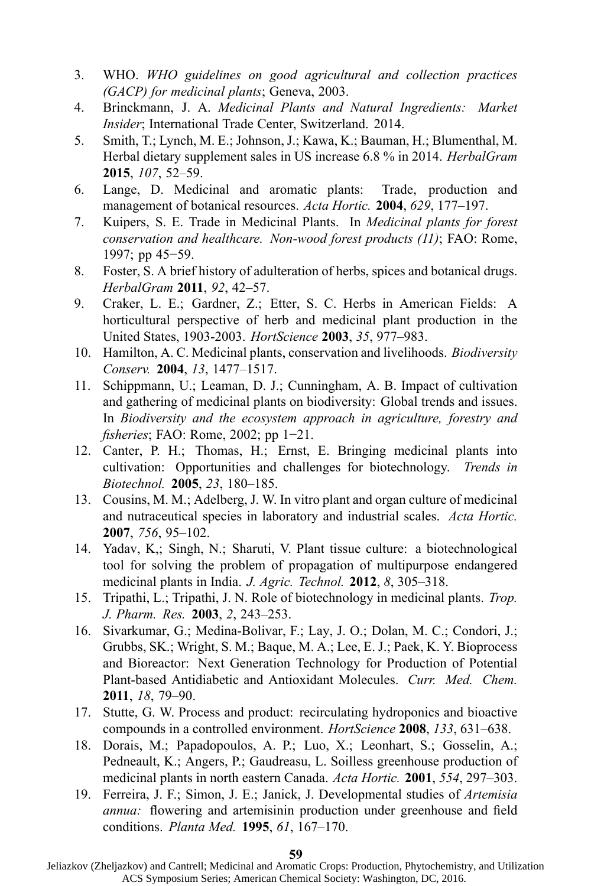- 3. WHO. *WHO guidelines on good agricultural and collection practices (GACP) for medicinal plants*; Geneva, 2003.
- 4. Brinckmann, J. A. *Medicinal Plants and Natural Ingredients: Market Insider*; International Trade Center, Switzerland. 2014.
- 5. Smith, T.; Lynch, M. E.; Johnson, J.; Kawa, K.; Bauman, H.; Blumenthal, M. Herbal dietary supplement sales in US increase 6.8 % in 2014. *HerbalGram* **2015**, *107*, 52–59.
- 6. Lange, D. Medicinal and aromatic plants: Trade, production and managemen<sup>t</sup> of botanical resources. *Acta Hortic.* **2004**, *629*, 177–197.
- 7. Kuipers, S. E. Trade in Medicinal Plants. In *Medicinal plants for forest conservation and healthcare. Non-wood forest products (11)*; FAO: Rome, 1997; pp 45−59.
- 8. Foster, S. Abrief history of adulteration of herbs, spices and botanical drugs. *HerbalGram* **2011**, *92*, 42–57.
- 9. Craker, L. E.; Gardner, Z.; Etter, S. C. Herbs in American Fields: A horticultural perspective of herb and medicinal plant production in the United States, 1903-2003. *HortScience* **2003**, *35*, 977–983.
- 10. Hamilton, A. C. Medicinal plants, conservation and livelihoods. *Biodiversity Conserv.* **2004**, *13*, 1477–1517.
- 11. Schippmann, U.; Leaman, D. J.; Cunningham, A. B. Impact of cultivation and gathering of medicinal plants on biodiversity: Global trends and issues. In *Biodiversity and the ecosystem approach in agriculture, forestry and fisheries*; FAO: Rome, 2002; pp 1−21.
- 12. Canter, P. H.; Thomas, H.; Ernst, E. Bringing medicinal plants into cultivation: Opportunities and challenges for biotechnology. *Trends in Biotechnol.* **2005**, *23*, 180–185.
- 13. Cousins, M. M.; Adelberg, J. W. In vitro plant and organ culture of medicinal and nutraceutical species in laboratory and industrial scales. *Acta Hortic.* **2007**, *756*, 95–102.
- 14. Yadav, K,; Singh, N.; Sharuti, V. Plant tissue culture: <sup>a</sup> biotechnological tool for solving the problem of propagation of multipurpose endangered medicinal plants in India. *J. Agric. Technol.* **2012**, *8*, 305–318.
- 15. Tripathi, L.; Tripathi, J. N. Role of biotechnology in medicinal plants. *Trop. J. Pharm. Res.* **2003**, *2*, 243–253.
- 16. Sivarkumar, G.; Medina-Bolivar, F.; Lay, J. O.; Dolan, M. C.; Condori, J.; Grubbs, SK.; Wright, S. M.; Baque, M. A.; Lee, E. J.; Paek, K. Y. Bioprocess and Bioreactor: Next Generation Technology for Production of Potential Plant-based Antidiabetic and Antioxidant Molecules. *Curr. Med. Chem.* **2011**, *18*, 79–90.
- 17. Stutte, G. W. Process and product: recirculating hydroponics and bioactive compounds in <sup>a</sup> controlled environment. *HortScience* **2008**, *133*, 631–638.
- 18. Dorais, M.; Papadopoulos, A. P.; Luo, X.; Leonhart, S.; Gosselin, A.; Pedneault, K.; Angers, P.; Gaudreasu, L. Soilless greenhouse production of medicinal plants in north eastern Canada. *Acta Hortic.* **2001**, *554*, 297–303.
- 19. Ferreira, J. F.; Simon, J. E.; Janick, J. Developmental studies of *Artemisia annua:* flowering and artemisinin production under greenhouse and field conditions. *Planta Med.* **1995**, *61*, 167–170.

Jeliazkov (Zheljazkov) and Cantrell; Medicinal and Aromatic Crops: Production, Phytochemistry, and Utilization ACS Symposium Series; American Chemical Society: Washington, DC, 2016.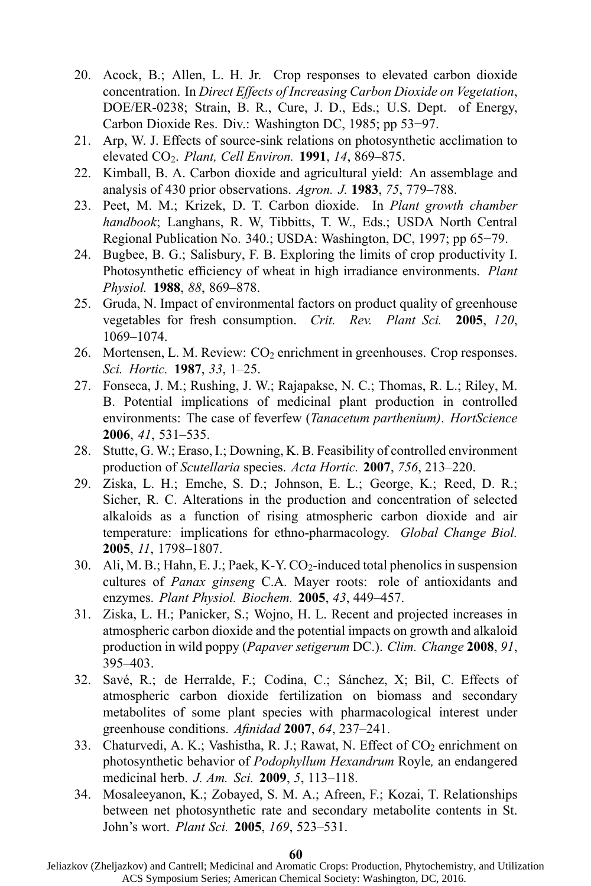- 20. Acock, B.; Allen, L. H. Jr. Crop responses to elevated carbon dioxide concentration. In *Direct Effects of Increasing Carbon Dioxide on Vegetation*, DOE/ER-0238; Strain, B. R., Cure, J. D., Eds.; U.S. Dept. of Energy, Carbon Dioxide Res. Div.: Washington DC, 1985; pp 53−97.
- 21. Arp, W. J. Effects of source-sink relations on photosynthetic acclimation to elevated CO<sup>2</sup>. *Plant, Cell Environ.* **1991**, *14*, 869–875.
- 22. Kimball, B. A. Carbon dioxide and agricultural yield: An assemblage and analysis of 430 prior observations. *Agron. J.* **1983**, *75*, 779–788.
- 23. Peet, M. M.; Krizek, D. T. Carbon dioxide. In *Plant growth chamber handbook*; Langhans, R. W, Tibbitts, T. W., Eds.; USDA North Central Regional Publication No. 340.; USDA: Washington, DC, 1997; pp 65−79.
- 24. Bugbee, B. G.; Salisbury, F. B. Exploring the limits of crop productivity I. Photosynthetic efficiency of wheat in high irradiance environments. *Plant Physiol.* **1988**, *88*, 869–878.
- 25. Gruda, N. Impact of environmental factors on product quality of greenhouse vegetables for fresh consumption. *Crit. Rev. Plant Sci.* **2005**, *120*, 1069–1074.
- 26. Mortensen, L. M. Review:  $CO<sub>2</sub>$  enrichment in greenhouses. Crop responses. *Sci. Hortic.* **1987**, *33*, 1–25.
- 27. Fonseca, J. M.; Rushing, J. W.; Rajapakse, N. C.; Thomas, R. L.; Riley, M. B. Potential implications of medicinal plant production in controlled environments: The case of feverfew (*Tanacetum parthenium)*. *HortScience* **2006**, *41*, 531–535.
- 28. Stutte, G. W.; Eraso, I.; Downing, K. B. Feasibility of controlled environment production of *Scutellaria* species. *Acta Hortic.* **2007**, *756*, 213–220.
- 29. Ziska, L. H.; Emche, S. D.; Johnson, E. L.; George, K.; Reed, D. R.; Sicher, R. C. Alterations in the production and concentration of selected alkaloids as <sup>a</sup> function of rising atmospheric carbon dioxide and air temperature: implications for ethno-pharmacology. *Global Change Biol.* **2005**, *11*, 1798–1807.
- 30. Ali, M. B.; Hahn, E. J.; Paek, K-Y.  $CO_2$ -induced total phenolics in suspension cultures of *Panax ginseng* C.A. Mayer roots: role of antioxidants and enzymes. *Plant Physiol. Biochem.* **2005**, *43*, 449–457.
- 31. Ziska, L. H.; Panicker, S.; Wojno, H. L. Recent and projected increases in atmospheric carbon dioxide and the potential impacts on growth and alkaloid production in wild poppy (*Papaver setigerum* DC.). *Clim. Change* **2008**, *91*, 395–403.
- 32. Savé, R.; de Herralde, F.; Codina, C.; Sánchez, X; Bil, C. Effects of atmospheric carbon dioxide fertilization on biomass and secondary metabolites of some plant species with pharmacological interest under greenhouse conditions. *Afinidad* **2007**, *64*, 237–241.
- 33. Chaturvedi, A. K.; Vashistha, R. J.; Rawat, N. Effect of  $CO<sub>2</sub>$  enrichment on photosynthetic behavior of *Podophyllum Hexandrum* Royle*,* an endangered medicinal herb. *J. Am. Sci.* **2009**, *5*, 113–118.
- 34. Mosaleeyanon, K.; Zobayed, S. M. A.; Afreen, F.; Kozai, T. Relationships between net photosynthetic rate and secondary metabolite contents in St. John's wort. *Plant Sci.* **2005**, *169*, 523–531.

**60**

Jeliazkov (Zheljazkov) and Cantrell; Medicinal and Aromatic Crops: Production, Phytochemistry, and Utilization ACS Symposium Series; American Chemical Society: Washington, DC, 2016.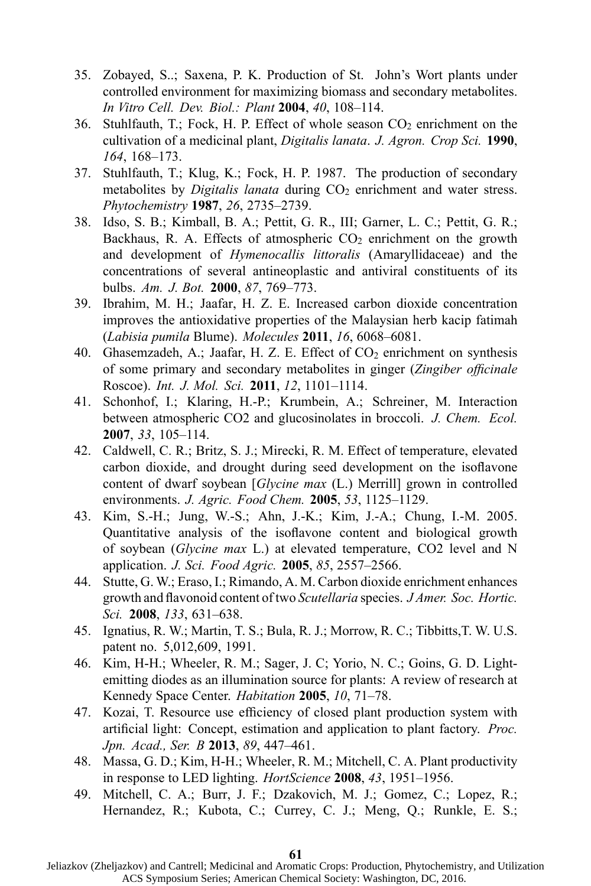- 35. Zobayed, S..; Saxena, P. K. Production of St. John's Wort plants under controlled environment for maximizing biomass and secondary metabolites. *In Vitro Cell. Dev. Biol.: Plant* **2004**, *40*, 108–114.
- 36. Stuhlfauth, T.; Fock, H. P. Effect of whole season  $CO<sub>2</sub>$  enrichment on the cultivation of <sup>a</sup> medicinal plant, *Digitalis lanata*. *J. Agron. Crop Sci.* **1990**, *164*, 168–173.
- 37. Stuhlfauth, T.; Klug, K.; Fock, H. P. 1987. The production of secondary metabolites by *Digitalis lanata* during CO<sub>2</sub> enrichment and water stress. *Phytochemistry* **1987**, *26*, 2735–2739.
- 38. Idso, S. B.; Kimball, B. A.; Pettit, G. R., III; Garner, L. C.; Pettit, G. R.; Backhaus, R. A. Effects of atmospheric  $CO<sub>2</sub>$  enrichment on the growth and development of *Hymenocallis littoralis* (Amaryllidaceae) and the concentrations of several antineoplastic and antiviral constituents of its bulbs. *Am. J. Bot.* **2000**, *87*, 769–773.
- 39. Ibrahim, M. H.; Jaafar, H. Z. E. Increased carbon dioxide concentration improves the antioxidative properties of the Malaysian herb kacip fatimah (*Labisia pumila* Blume). *Molecules* **2011**, *16*, 6068–6081.
- 40. Ghasemzadeh, A.; Jaafar, H. Z. E. Effect of  $CO<sub>2</sub>$  enrichment on synthesis of some primary and secondary metabolites in ginger (*Zingiber officinale* Roscoe). *Int. J. Mol. Sci.* **2011**, *12*, 1101–1114.
- 41. Schonhof, I.; Klaring, H.-P.; Krumbein, A.; Schreiner, M. Interaction between atmospheric CO2 and glucosinolates in broccoli. *J. Chem. Ecol.* **2007**, *33*, 105–114.
- 42. Caldwell, C. R.; Britz, S. J.; Mirecki, R. M. Effect of temperature, elevated carbon dioxide, and drought during seed development on the isoflavone content of dwarf soybean [*Glycine max* (L.) Merrill] grown in controlled environments. *J. Agric. Food Chem.* **2005**, *53*, 1125–1129.
- 43. Kim, S.-H.; Jung, W.-S.; Ahn, J.-K.; Kim, J.-A.; Chung, I.-M. 2005. Quantitative analysis of the isoflavone content and biological growth of soybean (*Glycine max* L.) at elevated temperature, CO2 level and N application. *J. Sci. Food Agric.* **2005**, *85*, 2557–2566.
- 44. Stutte, G. W.; Eraso, I.; Rimando, A. M. Carbon dioxide enrichment enhances growth and flavonoid content of two *Scutellaria* species. *J Amer. Soc. Hortic. Sci.* **2008**, *133*, 631–638.
- 45. Ignatius, R. W.; Martin, T. S.; Bula, R. J.; Morrow, R. C.; Tibbitts,T. W. U.S. patent no. 5,012,609, 1991.
- 46. Kim, H-H.; Wheeler, R. M.; Sager, J. C; Yorio, N. C.; Goins, G. D. Lightemitting diodes as an illumination source for plants: A review of research at Kennedy Space Center. *Habitation* **2005**, *10*, 71–78.
- 47. Kozai, T. Resource use efficiency of closed plant production system with artificial light: Concept, estimation and application to plant factory. *Proc. Jpn. Acad., Ser. B* **2013**, *89*, 447–461.
- 48. Massa, G. D.; Kim, H-H.; Wheeler, R. M.; Mitchell, C. A. Plant productivity in response to LED lighting. *HortScience* **2008**, *43*, 1951–1956.
- 49. Mitchell, C. A.; Burr, J. F.; Dzakovich, M. J.; Gomez, C.; Lopez, R.; Hernandez, R.; Kubota, C.; Currey, C. J.; Meng, Q.; Runkle, E. S.;

**<sup>61</sup>**

Jeliazkov (Zheljazkov) and Cantrell; Medicinal and Aromatic Crops: Production, Phytochemistry, and Utilization ACS Symposium Series; American Chemical Society: Washington, DC, 2016.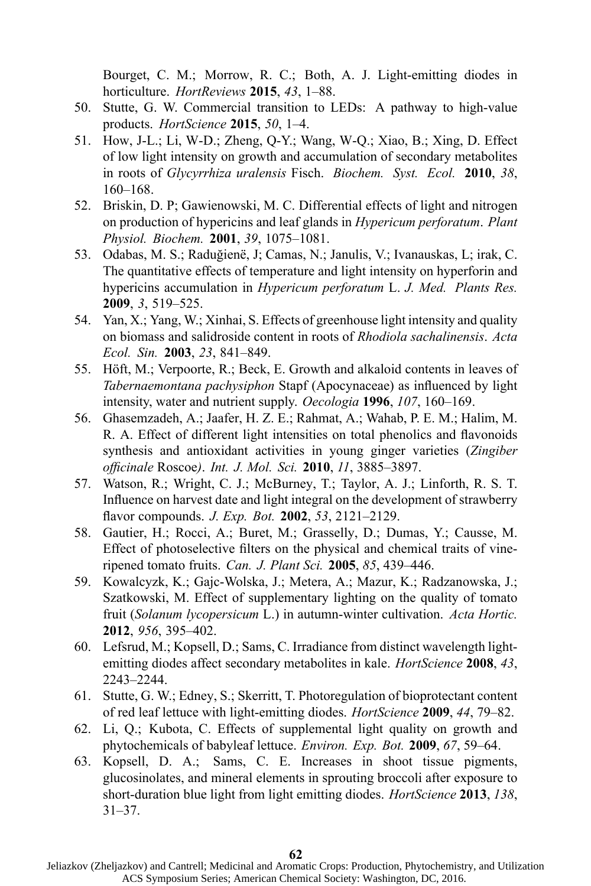Bourget, C. M.; Morrow, R. C.; Both, A. J. Light-emitting diodes in horticulture. *HortReviews* **2015**, *43*, 1–88.

- 50. Stutte, G. W. Commercial transition to LEDs: A pathway to high-value products. *HortScience* **2015**, *50*, 1–4.
- 51. How, J-L.; Li, W-D.; Zheng, Q-Y.; Wang, W-Q.; Xiao, B.; Xing, D. Effect of low light intensity on growth and accumulation of secondary metabolites in roots of *Glycyrrhiza uralensis* Fisch. *Biochem. Syst. Ecol.* **2010**, *38*, 160–168.
- 52. Briskin, D. P; Gawienowski, M. C. Differential effects of light and nitrogen on production of hypericins and leaf glands in *Hypericum perforatum*. *Plant Physiol. Biochem.* **2001**, *39*, 1075–1081.
- 53. Odabas, M. S.; Raduğienë, J; Camas, N.; Janulis, V.; Ivanauskas, L; irak, C. The quantitative effects of temperature and light intensity on hyperforin and hypericins accumulation in *Hypericum perforatum* L. *J. Med. Plants Res.* **2009**, *3*, 519–525.
- 54. Yan, X.; Yang, W.; Xinhai, S. Effects of greenhouse light intensity and quality on biomass and salidroside content in roots of *Rhodiola sachalinensis*. *Acta Ecol. Sin.* **2003**, *23*, 841–849.
- 55. Höft, M.; Verpoorte, R.; Beck, E. Growth and alkaloid contents in leaves of *Tabernaemontana pachysiphon* Stapf (Apocynaceae) as influenced by light intensity, water and nutrient supply. *Oecologia* **1996**, *107*, 160–169.
- 56. Ghasemzadeh, A.; Jaafer, H. Z. E.; Rahmat, A.; Wahab, P. E. M.; Halim, M. R. A. Effect of different light intensities on total phenolics and flavonoids synthesis and antioxidant activities in young ginger varieties (*Zingiber officinale* Roscoe*)*. *Int. J. Mol. Sci.* **2010**, *11*, 3885–3897.
- 57. Watson, R.; Wright, C. J.; McBurney, T.; Taylor, A. J.; Linforth, R. S. T. Influence on harvest date and light integral on the development of strawberry flavor compounds. *J. Exp. Bot.* **2002**, *53*, 2121–2129.
- 58. Gautier, H.; Rocci, A.; Buret, M.; Grasselly, D.; Dumas, Y.; Causse, M. Effect of photoselective filters on the physical and chemical traits of vineripened tomato fruits. *Can. J. Plant Sci.* **2005**, *85*, 439–446.
- 59. Kowalcyzk, K.; Gajc-Wolska, J.; Metera, A.; Mazur, K.; Radzanowska, J.; Szatkowski, M. Effect of supplementary lighting on the quality of tomato fruit (*Solanum lycopersicum* L.) in autumn-winter cultivation. *Acta Hortic.* **2012**, *956*, 395–402.
- 60. Lefsrud, M.; Kopsell, D.; Sams, C. Irradiance from distinct wavelength lightemitting diodes affect secondary metabolites in kale. *HortScience* **2008**, *43*, 2243–2244.
- 61. Stutte, G. W.; Edney, S.; Skerritt, T. Photoregulation of bioprotectant content of red leaf lettuce with light-emitting diodes. *HortScience* **2009**, *44*, 79–82.
- 62. Li, Q.; Kubota, C. Effects of supplemental light quality on growth and phytochemicals of babyleaf lettuce. *Environ. Exp. Bot.* **2009**, *67*, 59–64.
- 63. Kopsell, D. A.; Sams, C. E. Increases in shoot tissue pigments, glucosinolates, and mineral elements in sprouting broccoli after exposure to short-duration blue light from light emitting diodes. *HortScience* **2013**, *138*, 31–37.

Jeliazkov (Zheljazkov) and Cantrell; Medicinal and Aromatic Crops: Production, Phytochemistry, and Utilization ACS Symposium Series; American Chemical Society: Washington, DC, 2016.